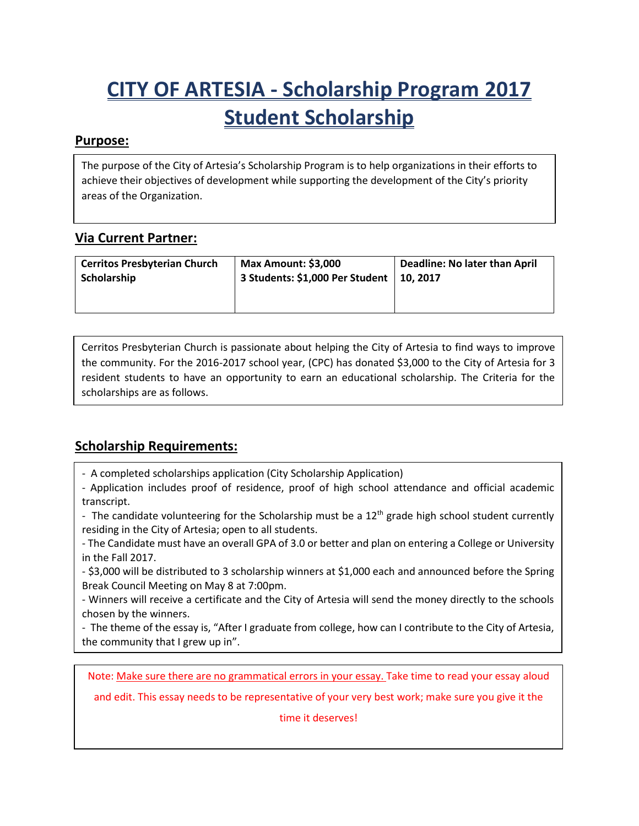# **CITY OF ARTESIA - Scholarship Program 2017 Student Scholarship**

#### **Purpose:**

The purpose of the City of Artesia's Scholarship Program is to help organizations in their efforts to achieve their objectives of development while supporting the development of the City's priority areas of the Organization.

### **Via Current Partner:**

| <b>Cerritos Presbyterian Church</b> | <b>Max Amount: \$3,000</b>      | Deadline: No later than April |
|-------------------------------------|---------------------------------|-------------------------------|
| Scholarship                         | 3 Students: \$1,000 Per Student | 10.2017                       |

Cerritos Presbyterian Church is passionate about helping the City of Artesia to find ways to improve the community. For the 2016-2017 school year, (CPC) has donated \$3,000 to the City of Artesia for 3 resident students to have an opportunity to earn an educational scholarship. The Criteria for the scholarships are as follows.

## **Scholarship Requirements:**

- A completed scholarships application (City Scholarship Application)

- The length of the essay is minimum 2 pages, single spaced.

- Application includes proof of residence, proof of high school attendance and official academic transcript.

- The candidate volunteering for the Scholarship must be a  $12<sup>th</sup>$  grade high school student currently residing in the City of Artesia; open to all students.

- The Candidate must have an overall GPA of 3.0 or better and plan on entering a College or University in the Fall 2017.

- \$3,000 will be distributed to 3 scholarship winners at \$1,000 each and announced before the Spring Break Council Meeting on May 8 at 7:00pm.

- Winners will receive a certificate and the City of Artesia will send the money directly to the schools chosen by the winners.

- The theme of the essay is, "After I graduate from college, how can I contribute to the City of Artesia, the community that I grew up in".

Note: Make sure there are no grammatical errors in your essay. Take time to read your essay aloud

and edit. This essay needs to be representative of your very best work; make sure you give it the

time it deserves!